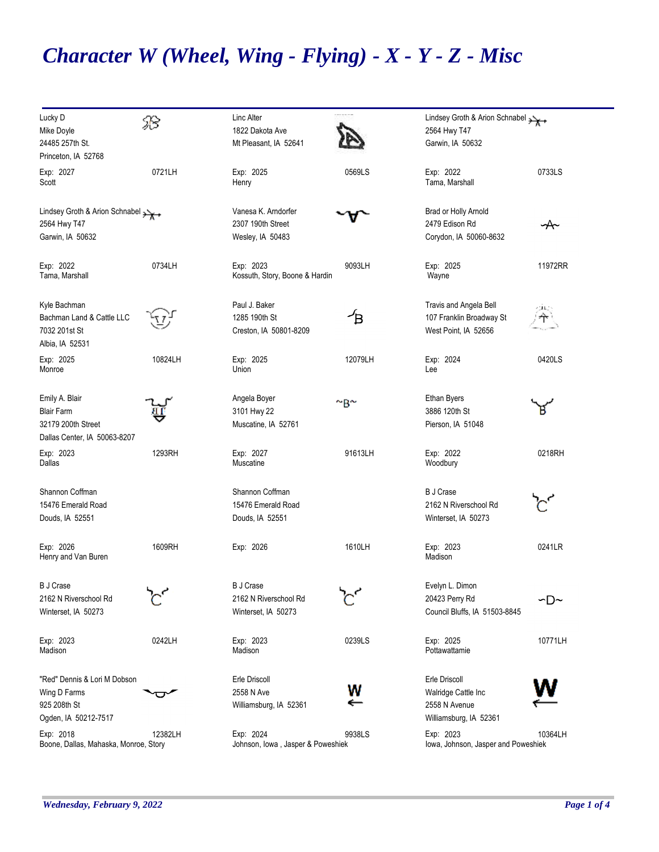## *Character W (Wheel, Wing - Flying) - X - Y - Z - Misc*

| Lucky D<br>Mike Doyle<br>24485 257th St.<br>Princeton, IA 52768                           | B        | Linc Alter<br>1822 Dakota Ave<br>Mt Pleasant, IA 52641           | ------        | Lindsey Groth & Arion Schnabel<br>2564 Hwy T47<br>Garwin, IA 50632              |              |
|-------------------------------------------------------------------------------------------|----------|------------------------------------------------------------------|---------------|---------------------------------------------------------------------------------|--------------|
| Exp: 2027<br>Scott                                                                        | 0721LH   | Exp: 2025<br>Henry                                               | 0569LS        | Exp: 2022<br>Tama, Marshall                                                     | 0733LS       |
| Lindsey Groth & Arion Schnabel<br>2564 Hwy T47<br>Garwin, IA 50632                        |          | Vanesa K. Arndorfer<br>2307 190th Street<br>Wesley, IA 50483     |               | Brad or Holly Arnold<br>2479 Edison Rd<br>Corydon, IA 50060-8632                | y            |
| Exp: 2022<br>Tama, Marshall                                                               | 0734LH   | Exp: 2023<br>Kossuth, Story, Boone & Hardin                      | 9093LH        | Exp: 2025<br>Wayne                                                              | 11972RR      |
| Kyle Bachman<br>Bachman Land & Cattle LLC<br>7032 201st St<br>Albia, IA 52531             |          | Paul J. Baker<br>1285 190th St<br>Creston, IA 50801-8209         | ≁в            | Travis and Angela Bell<br>107 Franklin Broadway St<br>West Point, IA 52656      | <b>CHLON</b> |
| Exp: 2025<br>Monroe                                                                       | 10824LH  | Exp: 2025<br>Union                                               | 12079LH       | Exp: 2024<br>Lee                                                                | 0420LS       |
| Emily A. Blair<br><b>Blair Farm</b><br>32179 200th Street<br>Dallas Center, IA 50063-8207 |          | Angela Boyer<br>3101 Hwy 22<br>Muscatine, IA 52761               | $\sim_B \sim$ | <b>Ethan Byers</b><br>3886 120th St<br>Pierson, IA 51048                        |              |
| Exp: 2023<br>Dallas                                                                       | 1293RH   | Exp: 2027<br>Muscatine                                           | 91613LH       | Exp: 2022<br>Woodbury                                                           | 0218RH       |
| Shannon Coffman<br>15476 Emerald Road<br>Douds, IA 52551                                  |          | Shannon Coffman<br>15476 Emerald Road<br>Douds, IA 52551         |               | <b>B</b> J Crase<br>2162 N Riverschool Rd<br>Winterset, IA 50273                |              |
| Exp: 2026<br>Henry and Van Buren                                                          | 1609RH   | Exp: 2026                                                        | 1610LH        | Exp: 2023<br>Madison                                                            | 0241LR       |
| <b>B</b> J Crase<br>2162 N Riverschool Rd<br>Winterset, IA 50273                          | ゚゙゚゚゙゚゙゙ | <b>B</b> J Crase<br>2162 N Riverschool Rd<br>Winterset, IA 50273 | ゚゙゚゚゙゚゚゙      | Evelyn L. Dimon<br>20423 Perry Rd<br>Council Bluffs, IA 51503-8845              | ∽D∼          |
| Exp: 2023<br>Madison                                                                      | 0242LH   | Exp: 2023<br>Madison                                             | 0239LS        | Exp: 2025<br>Pottawattamie                                                      | 10771LH      |
| "Red" Dennis & Lori M Dobson<br>Wing D Farms<br>925 208th St<br>Ogden, IA 50212-7517      |          | Erle Driscoll<br>2558 N Ave<br>Williamsburg, IA 52361            | w             | Erle Driscoll<br>Walridge Cattle Inc<br>2558 N Avenue<br>Williamsburg, IA 52361 |              |
| Exp: 2018<br>Boone, Dallas, Mahaska, Monroe, Story                                        | 12382LH  | Exp: 2024<br>Johnson, Iowa, Jasper & Poweshiek                   | 9938LS        | Exp: 2023<br>lowa, Johnson, Jasper and Poweshiek                                | 10364LH      |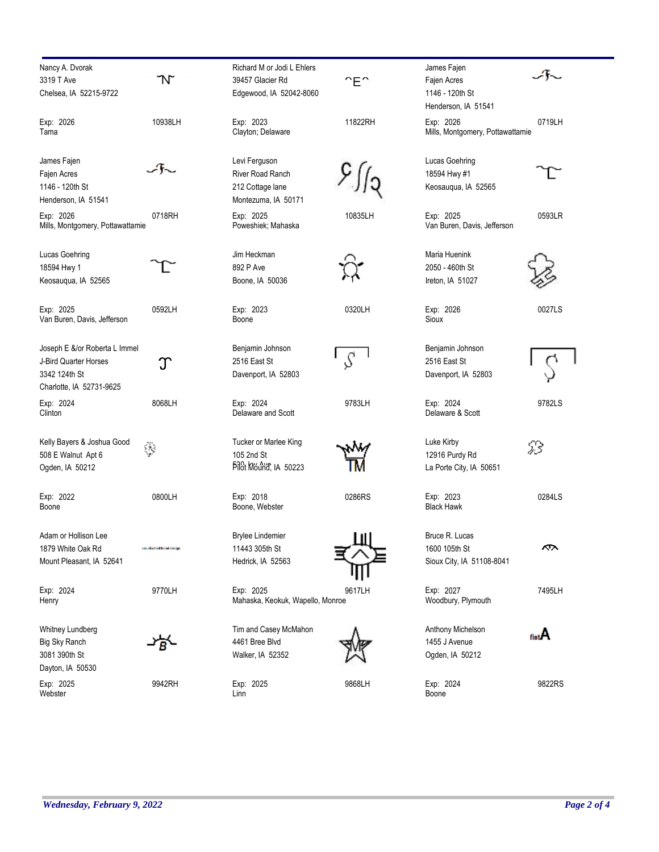| Nancy A. Dvorak                  |                            | Richard M or Jodi L Ehlers       |            | James Fajen                      |                |
|----------------------------------|----------------------------|----------------------------------|------------|----------------------------------|----------------|
| 3319 T Ave                       | N                          | 39457 Glacier Rd                 | $E^{\sim}$ | Fajen Acres                      |                |
| Chelsea, IA 52215-9722           |                            | Edgewood, IA 52042-8060          |            | 1146 - 120th St                  |                |
|                                  |                            |                                  |            | Henderson, IA 51541              |                |
| Exp: 2026                        | 10938LH                    | Exp: 2023                        | 11822RH    | Exp: 2026                        | 07             |
| Tama                             |                            | Clayton; Delaware                |            | Mills, Montgomery, Pottawattamie |                |
| James Fajen                      |                            | Levi Ferguson                    |            | Lucas Goehring                   |                |
| Fajen Acres                      |                            | <b>River Road Ranch</b>          |            | 18594 Hwy #1                     |                |
| 1146 - 120th St                  |                            | 212 Cottage lane                 |            | Keosaugua, IA 52565              |                |
| Henderson, IA 51541              |                            | Montezuma, IA 50171              |            |                                  |                |
| Exp: 2026                        | 0718RH                     | Exp: 2025                        | 10835LH    | Exp: 2025                        | 05             |
| Mills, Montgomery, Pottawattamie |                            | Poweshiek; Mahaska               |            | Van Buren, Davis, Jefferson      |                |
| Lucas Goehring                   |                            | Jim Heckman                      |            | Maria Huenink                    |                |
| 18594 Hwy 1                      |                            | 892 P Ave                        |            | 2050 - 460th St                  |                |
| Keosauqua, IA 52565              |                            | Boone, IA 50036                  |            | Ireton, IA 51027                 |                |
| Exp: 2025                        | 0592LH                     | Exp: 2023                        | 0320LH     | Exp: 2026                        | 0 <sup>0</sup> |
| Van Buren, Davis, Jefferson      |                            | Boone                            |            | <b>Sioux</b>                     |                |
| Joseph E &/or Roberta L Immel    |                            | Benjamin Johnson                 |            | Benjamin Johnson                 |                |
| J-Bird Quarter Horses            | ე                          | 2516 East St                     | S          | 2516 East St                     |                |
| 3342 124th St                    |                            | Davenport, IA 52803              |            | Davenport, IA 52803              |                |
| Charlotte, IA 52731-9625         |                            |                                  |            |                                  |                |
| Exp: 2024                        | 8068LH                     | Exp: 2024                        | 9783LH     | Exp: 2024                        | 97             |
| Clinton                          |                            | Delaware and Scott               |            | Delaware & Scott                 |                |
| Kelly Bayers & Joshua Good       |                            | Tucker or Marlee King            |            | Luke Kirby                       | ℬ              |
| 508 E Walnut Apt 6               | ◈                          | 105 2nd St                       |            | 12916 Purdy Rd                   |                |
| Ogden, IA 50212                  |                            | Pilot Mound, IA 50223            |            | La Porte City, IA 50651          |                |
| Exp: 2022                        | 0800LH                     | Exp: 2018                        | 0286RS     | Exp: 2023                        | 02             |
| Boone                            |                            | Boone, Webster                   |            | <b>Black Hawk</b>                |                |
| Adam or Hollison Lee             |                            | <b>Brylee Lindemier</b>          |            | Bruce R. Lucas                   |                |
| 1879 White Oak Rd                | too attached brand closige | 11443 305th St                   |            | 1600 105th St                    | 1              |
| Mount Pleasant, IA 52641         |                            | Hedrick, IA 52563                |            | Sioux City, IA 51108-8041        |                |
| Exp: 2024                        | 9770LH                     | Exp: 2025                        | 9617LH     | Exp: 2027                        | 74             |
| Henry                            |                            | Mahaska, Keokuk, Wapello, Monroe |            | Woodbury, Plymouth               |                |
| Whitney Lundberg                 |                            | Tim and Casey McMahon            |            | Anthony Michelson                |                |
| Big Sky Ranch                    |                            | 4461 Bree Blvd                   |            | 1455 J Avenue                    | fista          |
| 3081 390th St                    |                            | Walker, IA 52352                 |            | Ogden, IA 50212                  |                |
| Dayton, IA 50530                 |                            |                                  |            |                                  |                |
| Exp: 2025                        | 9942RH                     | Exp: 2025                        | 9868LH     | Exp: 2024                        | 98             |
| Webster                          |                            | Linn                             |            | Boone                            |                |

0719LH

 $\mathcal{A}\!\!\!\sim$ 

0593LR

ᠧ

0027LS

É

9782LS

 $\frac{5}{3}$ 

I

0284LS

7495LH

 $A_{\text{inf}}$ 

 $\mathcal{L}$ 

9822RS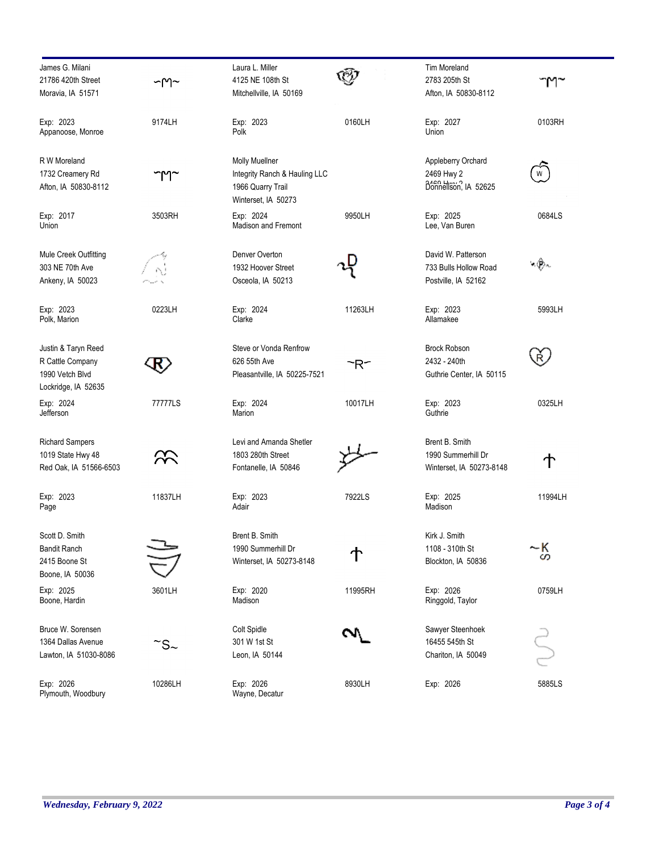| James G. Milani<br>21786 420th Street<br>Moravia, IA 51571                        | $\neg$ ግ $\neg$       | Laura L. Miller<br>4125 NE 108th St<br>Mitchellville, IA 50169                                     |         | <b>Tim Moreland</b><br>2783 205th St<br>Afton, IA 50830-8112       |         |
|-----------------------------------------------------------------------------------|-----------------------|----------------------------------------------------------------------------------------------------|---------|--------------------------------------------------------------------|---------|
| Exp: 2023<br>Appanoose, Monroe                                                    | 9174LH                | Exp: 2023<br>Polk                                                                                  | 0160LH  | Exp: 2027<br>Union                                                 | 0103RH  |
| R W Moreland<br>1732 Creamery Rd<br>Afton, IA 50830-8112                          | ๅๅๅ~                  | <b>Molly Muellner</b><br>Integrity Ranch & Hauling LLC<br>1966 Quarry Trail<br>Winterset, IA 50273 |         | Appleberry Orchard<br>2469 Hwy 2<br>Donnellson, IA 52625           | W       |
| Exp: 2017<br>Union                                                                | 3503RH                | Exp: 2024<br><b>Madison and Fremont</b>                                                            | 9950LH  | Exp: 2025<br>Lee, Van Buren                                        | 0684LS  |
| Mule Creek Outfitting<br>303 NE 70th Ave<br>Ankeny, IA 50023                      |                       | Denver Overton<br>1932 Hoover Street<br>Osceola, IA 50213                                          |         | David W. Patterson<br>733 Bulls Hollow Road<br>Postville, IA 52162 | ৸৻ঢ়৾৻  |
| Exp: 2023<br>Polk, Marion                                                         | 0223LH                | Exp: 2024<br>Clarke                                                                                | 11263LH | Exp: 2023<br>Allamakee                                             | 5993LH  |
| Justin & Taryn Reed<br>R Cattle Company<br>1990 Vetch Blvd<br>Lockridge, IA 52635 |                       | Steve or Vonda Renfrow<br>626 55th Ave<br>Pleasantville, IA 50225-7521                             | ~R~     | <b>Brock Robson</b><br>2432 - 240th<br>Guthrie Center, IA 50115    | Ŕ.      |
| Exp: 2024<br>Jefferson                                                            | 77777LS               | Exp: 2024<br>Marion                                                                                | 10017LH | Exp: 2023<br>Guthrie                                               | 0325LH  |
| <b>Richard Sampers</b><br>1019 State Hwy 48<br>Red Oak, IA 51566-6503             |                       | Levi and Amanda Shetler<br>1803 280th Street<br>Fontanelle, IA 50846                               |         | Brent B. Smith<br>1990 Summerhill Dr<br>Winterset, IA 50273-8148   | ተ       |
| Exp: 2023<br>Page                                                                 | 11837LH               | Exp: 2023<br>Adair                                                                                 | 7922LS  | Exp: 2025<br>Madison                                               | 11994LH |
| Scott D. Smith<br><b>Bandit Ranch</b><br>2415 Boone St<br>Boone, IA 50036         |                       | Brent B. Smith<br>1990 Summerhill Dr<br>Winterset, IA 50273-8148                                   |         | Kirk J. Smith<br>1108 - 310th St<br>Blockton, IA 50836             | ~K<br>S |
| Exp: 2025<br>Boone, Hardin                                                        | 3601LH                | Exp: 2020<br>Madison                                                                               | 11995RH | Exp: 2026<br>Ringgold, Taylor                                      | 0759LH  |
| Bruce W. Sorensen<br>1364 Dallas Avenue<br>Lawton, IA 51030-8086                  | $\mathbb{S}$ s $\sim$ | Colt Spidle<br>301 W 1st St<br>Leon, IA 50144                                                      |         | Sawyer Steenhoek<br>16455 545th St<br>Chariton, IA 50049           |         |
| Exp: 2026<br>Plymouth, Woodbury                                                   | 10286LH               | Exp: 2026<br>Wayne, Decatur                                                                        | 8930LH  | Exp: 2026                                                          | 5885LS  |